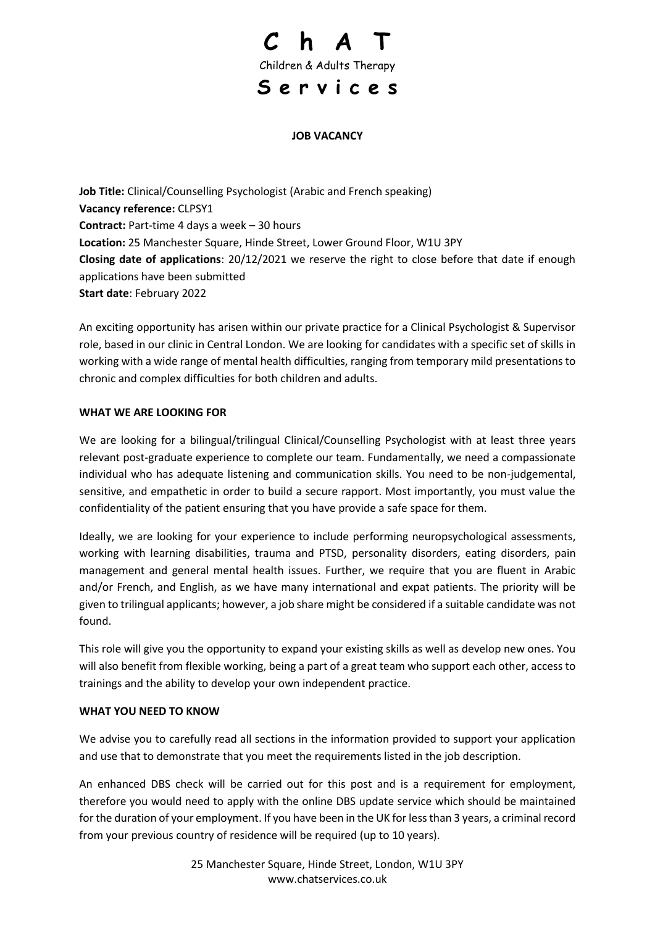

#### **JOB VACANCY**

**Job Title:** Clinical/Counselling Psychologist (Arabic and French speaking) **Vacancy reference:** CLPSY1 **Contract:** Part-time 4 days a week – 30 hours **Location:** 25 Manchester Square, Hinde Street, Lower Ground Floor, W1U 3PY **Closing date of applications**: 20/12/2021 we reserve the right to close before that date if enough applications have been submitted **Start date**: February 2022

An exciting opportunity has arisen within our private practice for a Clinical Psychologist & Supervisor role, based in our clinic in Central London. We are looking for candidates with a specific set of skills in working with a wide range of mental health difficulties, ranging from temporary mild presentations to chronic and complex difficulties for both children and adults.

#### **WHAT WE ARE LOOKING FOR**

We are looking for a bilingual/trilingual Clinical/Counselling Psychologist with at least three years relevant post-graduate experience to complete our team. Fundamentally, we need a compassionate individual who has adequate listening and communication skills. You need to be non-judgemental, sensitive, and empathetic in order to build a secure rapport. Most importantly, you must value the confidentiality of the patient ensuring that you have provide a safe space for them.

Ideally, we are looking for your experience to include performing neuropsychological assessments, working with learning disabilities, trauma and PTSD, personality disorders, eating disorders, pain management and general mental health issues. Further, we require that you are fluent in Arabic and/or French, and English, as we have many international and expat patients. The priority will be given to trilingual applicants; however, a job share might be considered if a suitable candidate was not found.

This role will give you the opportunity to expand your existing skills as well as develop new ones. You will also benefit from flexible working, being a part of a great team who support each other, access to trainings and the ability to develop your own independent practice.

#### **WHAT YOU NEED TO KNOW**

We advise you to carefully read all sections in the information provided to support your application and use that to demonstrate that you meet the requirements listed in the job description.

An enhanced DBS check will be carried out for this post and is a requirement for employment, therefore you would need to apply with the online DBS update service which should be maintained for the duration of your employment. If you have been in the UK for less than 3 years, a criminal record from your previous country of residence will be required (up to 10 years).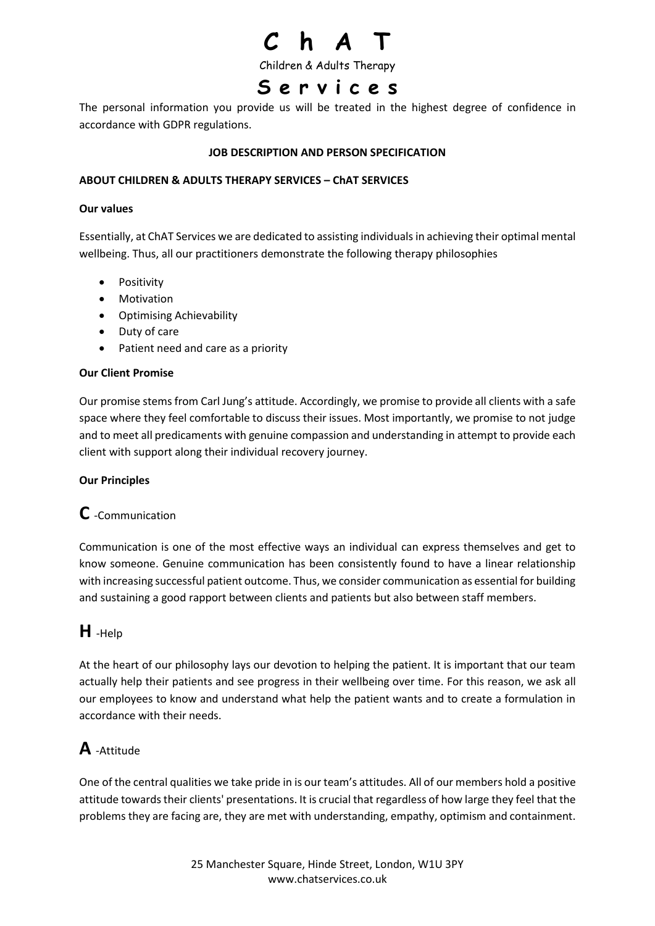Children & Adults Therapy

## **S e r v i c e s**

The personal information you provide us will be treated in the highest degree of confidence in accordance with GDPR regulations.

#### **JOB DESCRIPTION AND PERSON SPECIFICATION**

#### **ABOUT CHILDREN & ADULTS THERAPY SERVICES – ChAT SERVICES**

#### **Our values**

Essentially, at ChAT Services we are dedicated to assisting individuals in achieving their optimal mental wellbeing. Thus, all our practitioners demonstrate the following therapy philosophies

- Positivity
- Motivation
- Optimising Achievability
- Duty of care
- Patient need and care as a priority

#### **Our Client Promise**

Our promise stems from Carl Jung's attitude. Accordingly, we promise to provide all clients with a safe space where they feel comfortable to discuss their issues. Most importantly, we promise to not judge and to meet all predicaments with genuine compassion and understanding in attempt to provide each client with support along their individual recovery journey.

#### **Our Principles**

### **C** -Communication

Communication is one of the most effective ways an individual can express themselves and get to know someone. Genuine communication has been consistently found to have a linear relationship with increasing successful patient outcome. Thus, we consider communication as essential for building and sustaining a good rapport between clients and patients but also between staff members.

### **H** -Help

At the heart of our philosophy lays our devotion to helping the patient. It is important that our team actually help their patients and see progress in their wellbeing over time. For this reason, we ask all our employees to know and understand what help the patient wants and to create a formulation in accordance with their needs.

### **A** -Attitude

One of the central qualities we take pride in is our team's attitudes. All of our members hold a positive attitude towards their clients' presentations. It is crucial that regardless of how large they feel that the problems they are facing are, they are met with understanding, empathy, optimism and containment.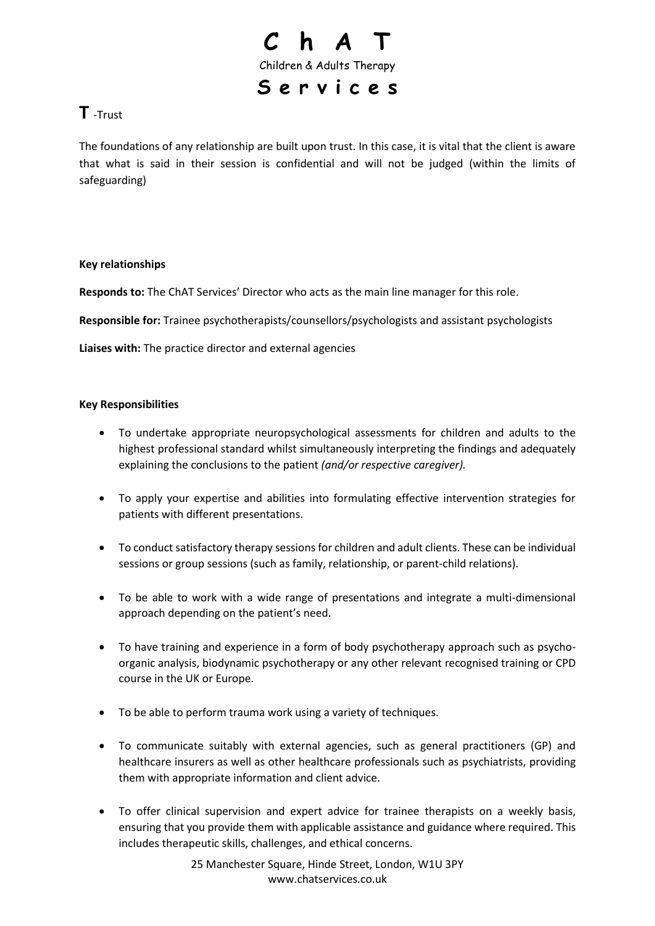

### **T** -Trust

The foundations of any relationship are built upon trust. In this case, it is vital that the client is aware that what is said in their session is confidential and will not be judged (within the limits of safeguarding)

#### **Key relationships**

**Responds to:** The ChAT Services' Director who acts as the main line manager for this role.

**Responsible for:** Trainee psychotherapists/counsellors/psychologists and assistant psychologists

**Liaises with:** The practice director and external agencies

#### **Key Responsibilities**

- To undertake appropriate neuropsychological assessments for children and adults to the highest professional standard whilst simultaneously interpreting the findings and adequately explaining the conclusions to the patient *(and/or respective caregiver).*
- To apply your expertise and abilities into formulating effective intervention strategies for patients with different presentations.
- To conduct satisfactory therapy sessions for children and adult clients. These can be individual sessions or group sessions (such as family, relationship, or parent-child relations).
- To be able to work with a wide range of presentations and integrate a multi-dimensional approach depending on the patient's need.
- To have training and experience in a form of body psychotherapy approach such as psychoorganic analysis, biodynamic psychotherapy or any other relevant recognised training or CPD course in the UK or Europe.
- To be able to perform trauma work using a variety of techniques.
- To communicate suitably with external agencies, such as general practitioners (GP) and healthcare insurers as well as other healthcare professionals such as psychiatrists, providing them with appropriate information and client advice.
- To offer clinical supervision and expert advice for trainee therapists on a weekly basis, ensuring that you provide them with applicable assistance and guidance where required. This includes therapeutic skills, challenges, and ethical concerns.

25 Manchester Square, Hinde Street, London, W1U 3PY [www.chatservices.co.uk](http://www.chatservices.co.uk/)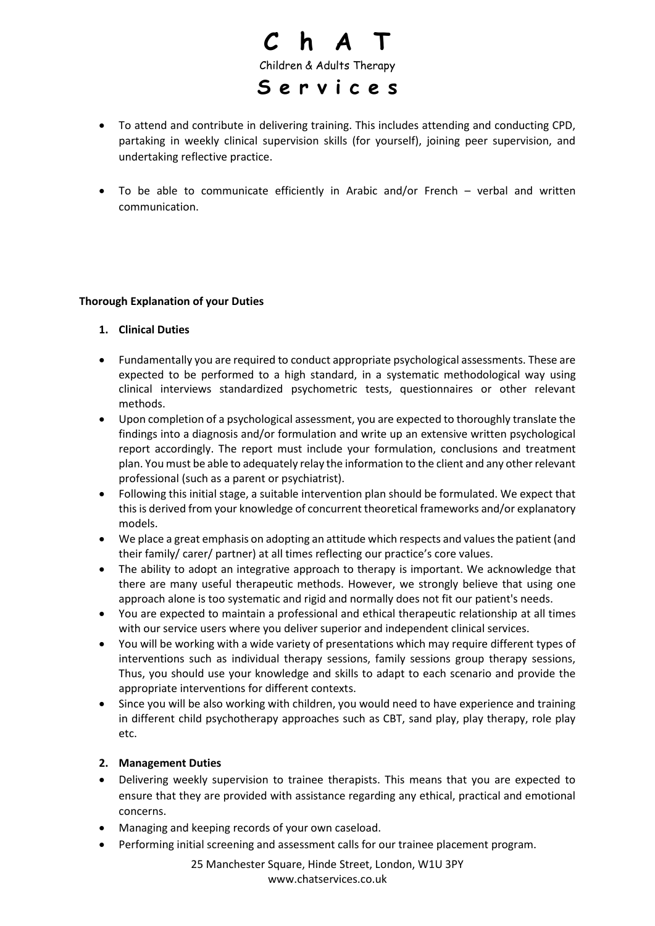

- To attend and contribute in delivering training. This includes attending and conducting CPD, partaking in weekly clinical supervision skills (for yourself), joining peer supervision, and undertaking reflective practice.
- To be able to communicate efficiently in Arabic and/or French verbal and written communication.

#### **Thorough Explanation of your Duties**

- **1. Clinical Duties**
- Fundamentally you are required to conduct appropriate psychological assessments. These are expected to be performed to a high standard, in a systematic methodological way using clinical interviews standardized psychometric tests, questionnaires or other relevant methods.
- Upon completion of a psychological assessment, you are expected to thoroughly translate the findings into a diagnosis and/or formulation and write up an extensive written psychological report accordingly. The report must include your formulation, conclusions and treatment plan. You must be able to adequately relay the information to the client and any other relevant professional (such as a parent or psychiatrist).
- Following this initial stage, a suitable intervention plan should be formulated. We expect that this is derived from your knowledge of concurrent theoretical frameworks and/or explanatory models.
- We place a great emphasis on adopting an attitude which respects and values the patient (and their family/ carer/ partner) at all times reflecting our practice's core values.
- The ability to adopt an integrative approach to therapy is important. We acknowledge that there are many useful therapeutic methods. However, we strongly believe that using one approach alone is too systematic and rigid and normally does not fit our patient's needs.
- You are expected to maintain a professional and ethical therapeutic relationship at all times with our service users where you deliver superior and independent clinical services.
- You will be working with a wide variety of presentations which may require different types of interventions such as individual therapy sessions, family sessions group therapy sessions, Thus, you should use your knowledge and skills to adapt to each scenario and provide the appropriate interventions for different contexts.
- Since you will be also working with children, you would need to have experience and training in different child psychotherapy approaches such as CBT, sand play, play therapy, role play etc.

#### **2. Management Duties**

- Delivering weekly supervision to trainee therapists. This means that you are expected to ensure that they are provided with assistance regarding any ethical, practical and emotional concerns.
- Managing and keeping records of your own caseload.
- Performing initial screening and assessment calls for our trainee placement program.

25 Manchester Square, Hinde Street, London, W1U 3PY [www.chatservices.co.uk](http://www.chatservices.co.uk/)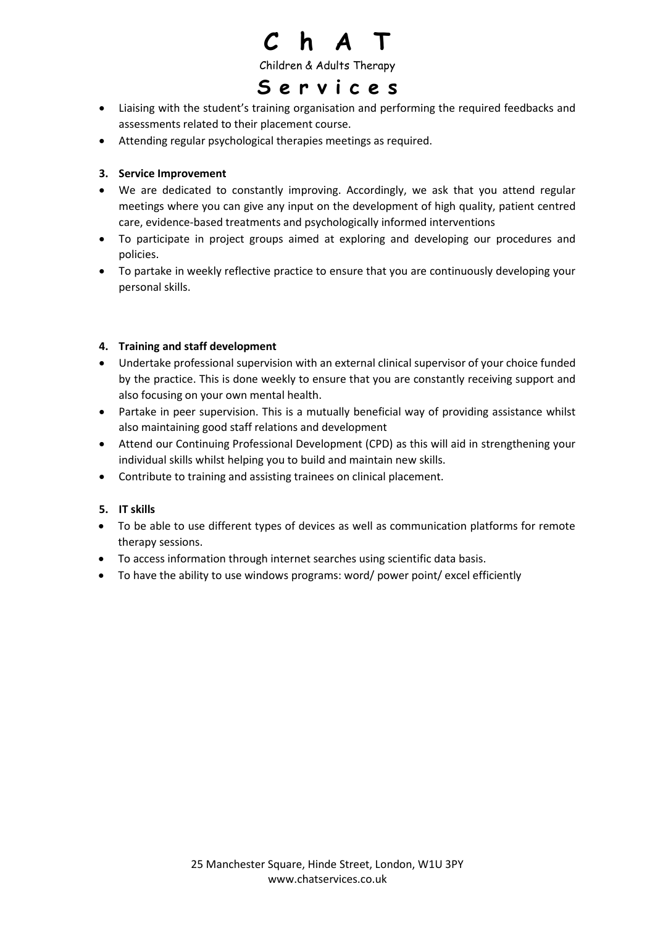

Children & Adults Therapy

### **S e r v i c e s**

- Liaising with the student's training organisation and performing the required feedbacks and assessments related to their placement course.
- Attending regular psychological therapies meetings as required.

#### **3. Service Improvement**

- We are dedicated to constantly improving. Accordingly, we ask that you attend regular meetings where you can give any input on the development of high quality, patient centred care, evidence-based treatments and psychologically informed interventions
- To participate in project groups aimed at exploring and developing our procedures and policies.
- To partake in weekly reflective practice to ensure that you are continuously developing your personal skills.

#### **4. Training and staff development**

- Undertake professional supervision with an external clinical supervisor of your choice funded by the practice. This is done weekly to ensure that you are constantly receiving support and also focusing on your own mental health.
- Partake in peer supervision. This is a mutually beneficial way of providing assistance whilst also maintaining good staff relations and development
- Attend our Continuing Professional Development (CPD) as this will aid in strengthening your individual skills whilst helping you to build and maintain new skills.
- Contribute to training and assisting trainees on clinical placement.

#### **5. IT skills**

- To be able to use different types of devices as well as communication platforms for remote therapy sessions.
- To access information through internet searches using scientific data basis.
- To have the ability to use windows programs: word/ power point/ excel efficiently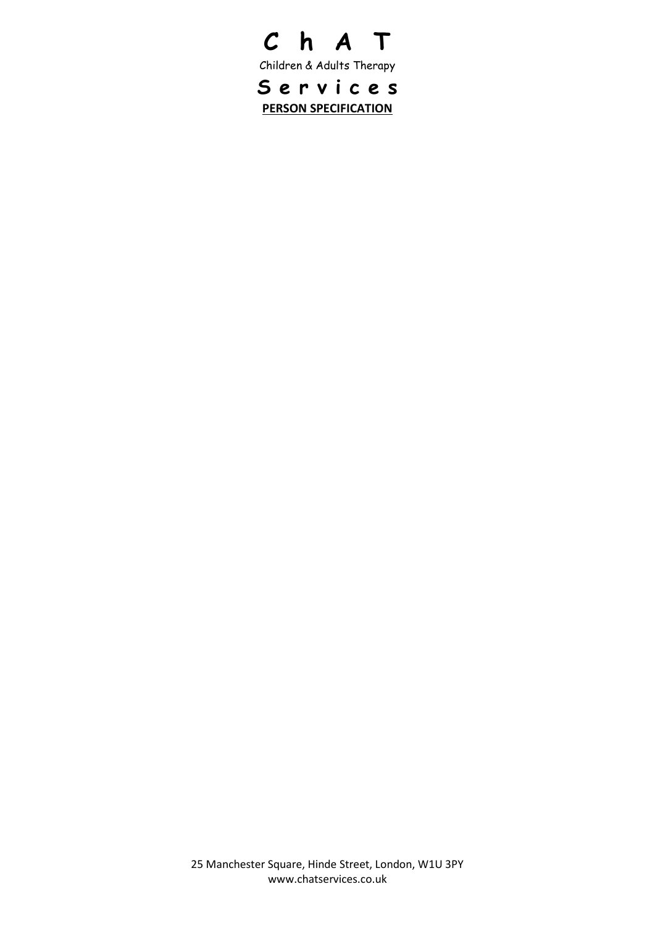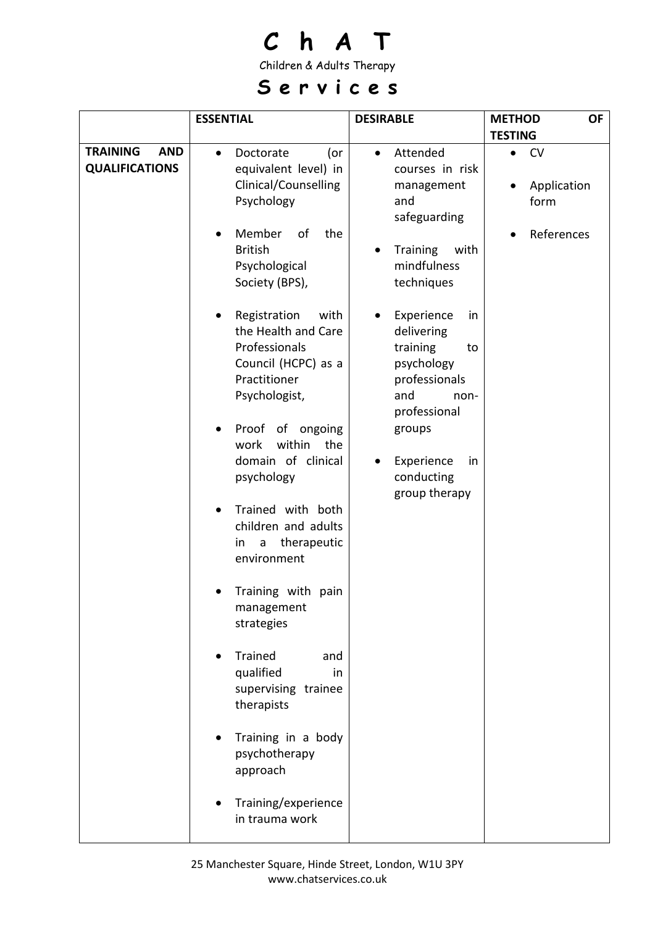Children & Adults Therapy

## **S e r v i c e s**

|                                                        | <b>ESSENTIAL</b>                                                                                                                                                                                                                                  | <b>DESIRABLE</b>                                                                                                                                                            | <b>METHOD</b><br><b>OF</b>                                  |
|--------------------------------------------------------|---------------------------------------------------------------------------------------------------------------------------------------------------------------------------------------------------------------------------------------------------|-----------------------------------------------------------------------------------------------------------------------------------------------------------------------------|-------------------------------------------------------------|
|                                                        |                                                                                                                                                                                                                                                   |                                                                                                                                                                             | <b>TESTING</b>                                              |
| <b>TRAINING</b><br><b>AND</b><br><b>QUALIFICATIONS</b> | Doctorate<br>(or<br>$\bullet$<br>equivalent level) in<br>Clinical/Counselling<br>Psychology<br>Member<br>of<br>the<br><b>British</b><br>Psychological<br>Society (BPS),                                                                           | Attended<br>$\bullet$<br>courses in risk<br>management<br>and<br>safeguarding<br><b>Training</b><br>with<br>$\bullet$<br>mindfulness<br>techniques                          | <b>CV</b><br>$\bullet$<br>Application<br>form<br>References |
|                                                        | Registration<br>with<br>the Health and Care<br>Professionals<br>Council (HCPC) as a<br>Practitioner<br>Psychologist,<br>Proof of ongoing<br>work<br>within<br>the<br>domain of clinical<br>psychology<br>Trained with both<br>children and adults | Experience<br>in<br>delivering<br>training<br>to<br>psychology<br>professionals<br>and<br>non-<br>professional<br>groups<br>Experience<br>in<br>conducting<br>group therapy |                                                             |
|                                                        | therapeutic<br>in<br>a<br>environment<br>Training with pain<br>management<br>strategies<br>Trained<br>and                                                                                                                                         |                                                                                                                                                                             |                                                             |
|                                                        | qualified<br>in<br>supervising trainee<br>therapists<br>Training in a body<br>psychotherapy<br>approach<br>Training/experience<br>in trauma work                                                                                                  |                                                                                                                                                                             |                                                             |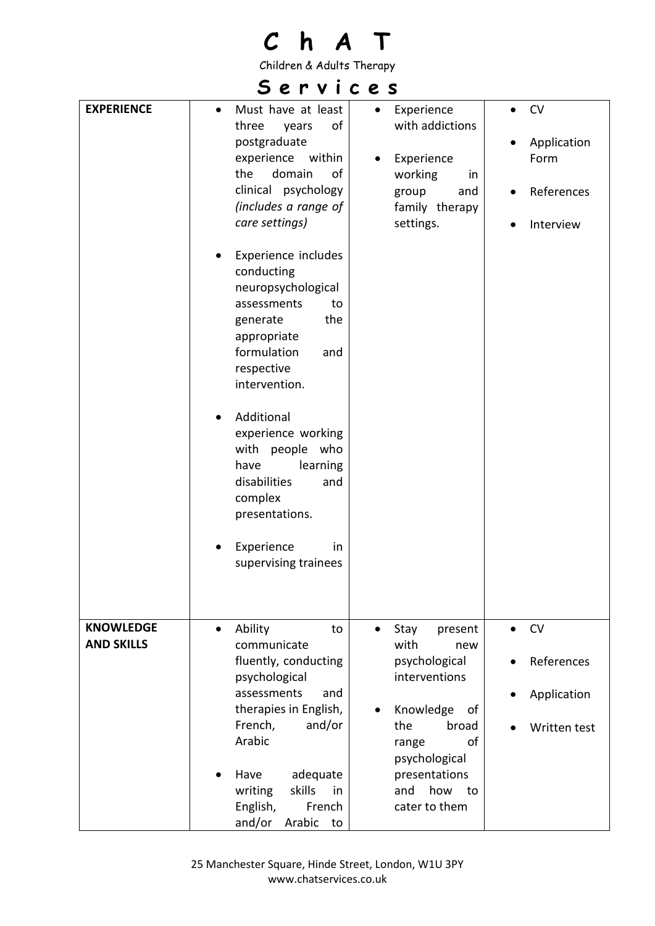Children & Adults Therapy

## **S e r v i c e s**

| <b>EXPERIENCE</b>                     | Must have at least<br>$\bullet$<br>of<br>three<br>years<br>postgraduate<br>experience<br>within<br>domain<br>the<br>of<br>clinical psychology<br>(includes a range of<br>care settings)<br>Experience includes<br>conducting<br>neuropsychological<br>assessments<br>to<br>generate<br>the<br>appropriate<br>formulation<br>and<br>respective<br>intervention.<br>Additional<br>experience working<br>with<br>people who<br>have<br>learning<br>disabilities<br>and<br>complex<br>presentations.<br>Experience<br>in<br>supervising trainees | Experience<br>$\bullet$<br>with addictions<br>Experience<br>working<br>in<br>group<br>and<br>family therapy<br>settings.                                                                  | <b>CV</b><br>$\bullet$<br>Application<br>Form<br>References<br>Interview |
|---------------------------------------|----------------------------------------------------------------------------------------------------------------------------------------------------------------------------------------------------------------------------------------------------------------------------------------------------------------------------------------------------------------------------------------------------------------------------------------------------------------------------------------------------------------------------------------------|-------------------------------------------------------------------------------------------------------------------------------------------------------------------------------------------|--------------------------------------------------------------------------|
| <b>KNOWLEDGE</b><br><b>AND SKILLS</b> | Ability<br>to<br>communicate<br>fluently, conducting<br>psychological<br>assessments<br>and<br>therapies in English,<br>French,<br>and/or<br>Arabic<br>adequate<br>Have<br>skills<br>in<br>writing<br>English,<br>French<br>and/or<br>Arabic<br>to                                                                                                                                                                                                                                                                                           | Stay<br>present<br>with<br>new<br>psychological<br>interventions<br>Knowledge<br>of<br>the<br>broad<br>of<br>range<br>psychological<br>presentations<br>how<br>and<br>to<br>cater to them | <b>CV</b><br>References<br>Application<br>Written test                   |